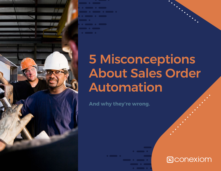

# 5 Misconceptions About Sales Order Automation

**And why they're wrong.**

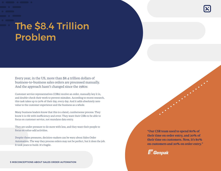# The \$8.4 Trillion Problem

Every year, in the US, more than \$8.4 trillion dollars of business-to-business sales orders are processed manually. And the approach hasn't changed since the 1980s:

Customer service representatives (CSRs) receive an order, manually key it in, and double-check their work to prevent mistakes. According to recent research, this task takes up to 50% of their day, every day. And it adds absolutely zero value to the customer experience and the business as a whole.

Many business leaders know that this is a dated, cumbersome process. They know it is rife with inefficiency and error. They want their CSRs to be able to focus on customer service, not mundane data entry.

They are under pressure to do more with less, and they want their people to focus on value-add activities.

Despite these pressures, decision-makers can be wary about Sales Order Automation. The way they process orders may not be perfect, but it does the job. It took years to build. It's fragile.

**"Our CSR team used to spend 80% of their time on order entry, and 20% of their time on customers. Now, it's 80% on customers and 20% on order entry."**



5 MISCONCEPTIONS ABOUT SALES ORDER AUTOMATION 2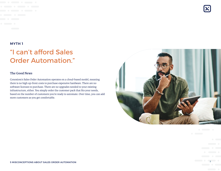## "I can't afford Sales Order Automation."

#### **The Good News**

Conexiom's Sales Order Automation operates on a cloud-based model, meaning there is no high up-front costs to purchase expensive hardware. There are no software licenses to purchase. There are no upgrades needed to your existing infrastructure, either. You simply order the customer pack that fits your needs, based on the number of customers you're ready to automate. Over time, you can add more customers as you get comfortable.

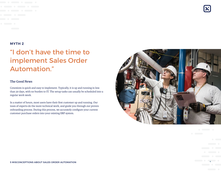## "I don't have the time to implement Sales Order Automation."

#### **The Good News**

Conexiom is quick and easy to implement. Typically, it is up and running in less than 30 days, with no burden to IT. The setup tasks can usually be scheduled into a regular work week.

In a matter of hours, most users have their first customer up and running. Our team of experts do the more technical work, and guide you through our proven onboarding process. During this process, we accurately configure your current customer purchase orders into your existing ERP system.

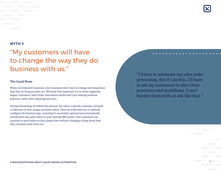

## "My customers will have to change the way they do business with us."

#### **The Good News**

When you onboard Conexiom, your customers don't have to change one thing about how they do business with you. We know how important it is to never negatively impact customers. Sales Order Automation works with your existing business practices, rather than requiring new ones.

During onboarding, we follow this process: You select a specific customer, and grab a collection of their unique purchase orders. Then we work with you to carefully configure the business logic, ensuring it's accurately captured and automatically transformed into sales orders in your existing ERP system. Your customers can continue to send orders as they always have without changing a thing about how they currently order from you.

**"I'd love to automate my sales order processing. But if I do this, I'll have to ask my customers to alter their processes and workflows. I can't burden them with an ask like that."**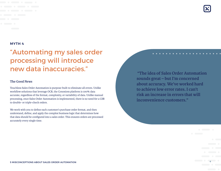## "Automating my sales order processing will introduce new data inaccuracies."

#### **The Good News**

Touchless Sales Order Automation is purpose-built to eliminate all errors. Unlike workflow solutions that leverage OCR, the Conexiom platform is 100% data accurate, regardless of the format, complexity, or variability of data. Unlike manual processing, once Sales Order Automation is implemented, there is no need for a CSR to double- or triple-check orders.

We work with you to define each customer's purchase order format, and then understand, define, and apply the complex business logic that determines how that data should be configured into a sales order. This ensures orders are processed accurately every single time.

 **"The idea of Sales Order Automation sounds great – but I'm concerned about accuracy. We've worked hard to achieve low error rates. I can't risk an increase in errors that will inconvenience customers."**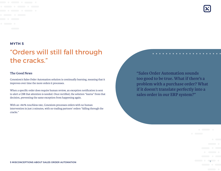

## "Orders will still fall through the cracks."

#### **The Good News**

Conexiom's Sales Order Automation solution is continually learning, meaning that it improves over time the more orders it processes.

When a specific order does require human review, an exception notification is sent to alert a CSR that attention is needed. Once rectified, the solution "learns" from that decision, preventing the same exception from happening again.

With an >80% touchless rate, Conexiom processes orders with no human intervention in just 2 minutes, with no trading partners' orders "falling through the cracks."

**"Sales Order Automation sounds too good to be true. What if there's a problem with a purchase order? What if it doesn't translate perfectly into a sales order in our ERP system?"**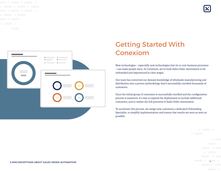



### Getting Started With Conexiom

New technologies – especially new technologies that tie to core business processes – can make people wary. At Conexiom, we've built Sales Order Automation to be onboarded and experienced in clear stages.

Our team has converted our domain knowledge of wholesale manufacturing and distribution into a proven methodology that's successfully enrolled thousands of customers.

Once the initial group of customers is successfully enrolled and the configuration process is mastered, it's easy to expand the deployment to include additional customers, and to realize the full potential of Sales Order Automation.

To accelerate this process, we assign new customers a dedicated Onboarding Specialist, to simplify implementation and ensure that results are seen as soon as possible.